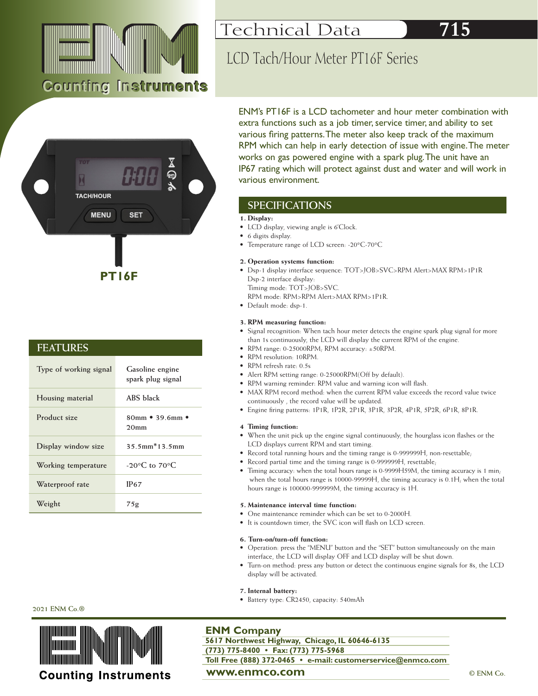

**PT16F**

**Type of working signal Gasoline engine** 

**Product size 80mm • 39.6mm •** 

**Display window size 35.5mm\*13.5mm**

**Working temperature -20°C to 70°C**

Waterproof rate **IP67** 

**Weight 75g**

**Housing material ABS black**

**FEATURES**

**spark plug signal**

**20mm**



# LCD Tach/Hour Meter PT16F Series

extra functions such as a job timer, service timer, and ability to set various firing patterns. The meter also keep track of the maximum RPM which can help in early detection of issue with engine. The meter works on gas powered engine with a spark plug. The unit have an various environment. **TACH/HOUR SPECIFICATIONS MENU SET 1. Display:**  • LCD display, viewing angle is 6'Clock.

- 6 digits display.
- Temperature range of LCD screen: -20°C-70°C

• Dsp-1 display interface sequence: TOT>JOB>SVC>RPM Alert>MAX RPM>1P1R Dsp-2 interface display:

RPM mode: RPM>RPM Alert>MAX RPM>1P1R.

• Default mode: dsp-1.

## **3. RPM measuring function:**

- Signal recognition: When tach hour meter detects the engine spark plug signal for more than 1s continuously, the LCD will display the current RPM of the engine.
- RPM range: 0-25000RPM; RPM accuracy: ±50RPM.
- RPM resolution: 10RPM.
- RPM refresh rate: 0.5s
- Alert RPM setting range: 0-25000RPM(Off by default).
- RPM warning reminder: RPM value and warning icon will flash.
- MAX RPM record method: when the current RPM value exceeds the record value twice continuously , the record value will be updated.
- Engine firing patterns: 1P1R, 1P2R, 2P1R, 3P1R, 3P2R, 4P1R, 5P2R, 6P1R, 8P1R.

# **4 Timing function:**

- When the unit pick up the engine signal continuously, the hourglass icon flashes or the LCD displays current RPM and start timing.
- Record total running hours and the timing range is 0-999999H, non-resettable;
- Record partial time and the timing range is 0-999999H, resettable,
- Timing accuracy: when the total hours range is 0-9999H59M, the timing accuracy is 1 min; when the total hours range is 10000-99999H, the timing accuracy is 0.1H; when the total hours range is 100000-999999M, the timing accuracy is 1H.

### **5. Maintenance interval time function:**

- One maintenance reminder which can be set to 0-2000H.
- It is countdown timer; the SVC icon will flash on LCD screen.

# **6. Turn-on/turn-off function:**

- Operation: press the "MENU" button and the "SET" button simultaneously on the main interface, the LCD will display OFF and LCD display will be shut down.
- Turn-on method: press any button or detect the continuous engine signals for 8s, the LCD display will be activated.

### **7. Internal battery:**

• Battery type: CR2450, capacity: 540mAh

# **2021 ENM Co.®**



# **Counting Instruments**

# **ENM Company**

**5617 Northwest Highway, Chicago, IL 60646-6135 (773) 775-8400 • Fax: (773) 775-5968 Toll Free (888) 372-0465 • e-mail: customerservice@enmco.com**

# **WWW.enmco.com**  $@$  **ENM Co.**

IP67 rating which will protect against dust and water and will work in

ENM's PT16F is a LCD tachometer and hour meter combination with

- 
- 

## **2. Operation systems function:**

Timing mode: TOT>JOB>SVC.